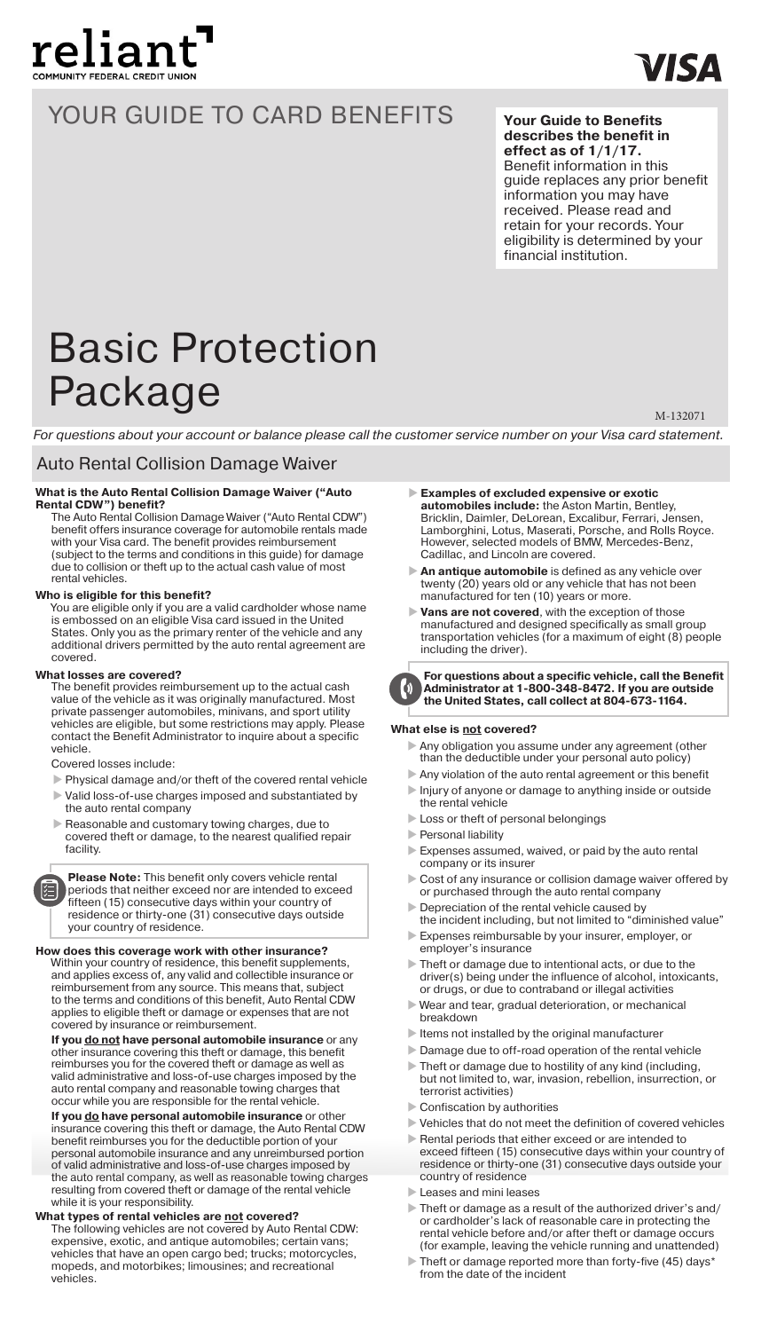

## YOUR GUIDE TO CARD BENEFITS

**Your Guide to Benefits describes the benefit in effect as of 1/1/17.**  Benefit information in this guide replaces any prior benefit information you may have received. Please read and retain for your records. Your eligibility is determined by your financial institution.

# Basic Protection Package

M-132071

*For questions about your account or balance please call the customer service number on your Visa card statement.*

### Auto Rental Collision Damage Waiver

## **What is the Auto Rental Collision Damage Waiver ("Auto**

**Rental CDW") benefit?** The Auto Rental Collision Damage Waiver ("Auto Rental CDW") benefit offers insurance coverage for automobile rentals made with your Visa card. The benefit provides reimbursement (subject to the terms and conditions in this guide) for damage due to collision or theft up to the actual cash value of most rental vehicles.

#### **Who is eligible for this benefit?**

You are eligible only if you are a valid cardholder whose name is embossed on an eligible Visa card issued in the United States. Only you as the primary renter of the vehicle and any additional drivers permitted by the auto rental agreement are covered.

#### **What losses are covered?**

The benefit provides reimbursement up to the actual cash value of the vehicle as it was originally manufactured. Most private passenger automobiles, minivans, and sport utility vehicles are eligible, but some restrictions may apply. Please contact the Benefit Administrator to inquire about a specific vehicle.

Covered losses include:

- Physical damage and/or theft of the covered rental vehicle
- Valid loss-of-use charges imposed and substantiated by the auto rental company
- Reasonable and customary towing charges, due to covered theft or damage, to the nearest qualified repair facility.

**Please Note:** This benefit only covers vehicle rental periods that neither exceed nor are intended to exceed fifteen (15) consecutive days within your country of residence or thirty-one (31) consecutive days outside your country of residence.

**How does this coverage work with other insurance?** Within your country of residence, this benefit supplements, and applies excess of, any valid and collectible insurance or reimbursement from any source. This means that, subject to the terms and conditions of this benefit, Auto Rental CDW applies to eligible theft or damage or expenses that are not covered by insurance or reimbursement.

**If you do not have personal automobile insurance** or any other insurance covering this theft or damage, this benefit reimburses you for the covered theft or damage as well as valid administrative and loss-of-use charges imposed by the auto rental company and reasonable towing charges that occur while you are responsible for the rental vehicle.

**If you do have personal automobile insurance** or other insurance covering this theft or damage, the Auto Rental CDW benefit reimburses you for the deductible portion of your personal automobile insurance and any unreimbursed portion of valid administrative and loss-of-use charges imposed by the auto rental company, as well as reasonable towing charges resulting from covered theft or damage of the rental vehicle while it is your responsibility.

**What types of rental vehicles are not covered?**  The following vehicles are not covered by Auto Rental CDW: expensive, exotic, and antique automobiles; certain vans; vehicles that have an open cargo bed; trucks; motorcycles, mopeds, and motorbikes; limousines; and recreational vehicles.

- **Examples of excluded expensive or exotic automobiles include:** the Aston Martin, Bentley, Bricklin, Daimler, DeLorean, Excalibur, Ferrari, Jensen, Lamborghini, Lotus, Maserati, Porsche, and Rolls Royce. However, selected models of BMW, Mercedes-Benz, Cadillac, and Lincoln are covered.
- **An antique automobile** is defined as any vehicle over twenty (20) years old or any vehicle that has not been manufactured for ten (10) years or more.
- **Vans are not covered**, with the exception of those manufactured and designed specifically as small group transportation vehicles (for a maximum of eight (8) people including the driver).



**For questions about a specific vehicle, call the Benefit Administrator at 1-800-348-8472. If you are outside the United States, call collect at 804-673-1164.**

#### **What else is not covered?**

- Any obligation you assume under any agreement (other than the deductible under your personal auto policy)
- Any violation of the auto rental agreement or this benefit Injury of anyone or damage to anything inside or outside
- the rental vehicle Loss or theft of personal belongings
- Personal liability
- 
- Expenses assumed, waived, or paid by the auto rental company or its insurer
- Cost of any insurance or collision damage waiver offered by or purchased through the auto rental company
- Depreciation of the rental vehicle caused by the incident including, but not limited to "diminished value"
- Expenses reimbursable by your insurer, employer, or employer's insurance
- Theft or damage due to intentional acts, or due to the driver(s) being under the influence of alcohol, intoxicants, or drugs, or due to contraband or illegal activities
- Wear and tear, gradual deterioration, or mechanical breakdown
- $\blacktriangleright$  Items not installed by the original manufacturer
- Damage due to off-road operation of the rental vehicle
- Theft or damage due to hostility of any kind (including, but not limited to, war, invasion, rebellion, insurrection, or terrorist activities)
- $\blacktriangleright$  Confiscation by authorities
- Vehicles that do not meet the definition of covered vehicles Rental periods that either exceed or are intended to
- exceed fifteen (15) consecutive days within your country of residence or thirty-one (31) consecutive days outside your country of residence
- Leases and mini leases
- Theft or damage as a result of the authorized driver's and/ or cardholder's lack of reasonable care in protecting the rental vehicle before and/or after theft or damage occurs (for example, leaving the vehicle running and unattended)
- Theft or damage reported more than forty-five (45) days\* from the date of the incident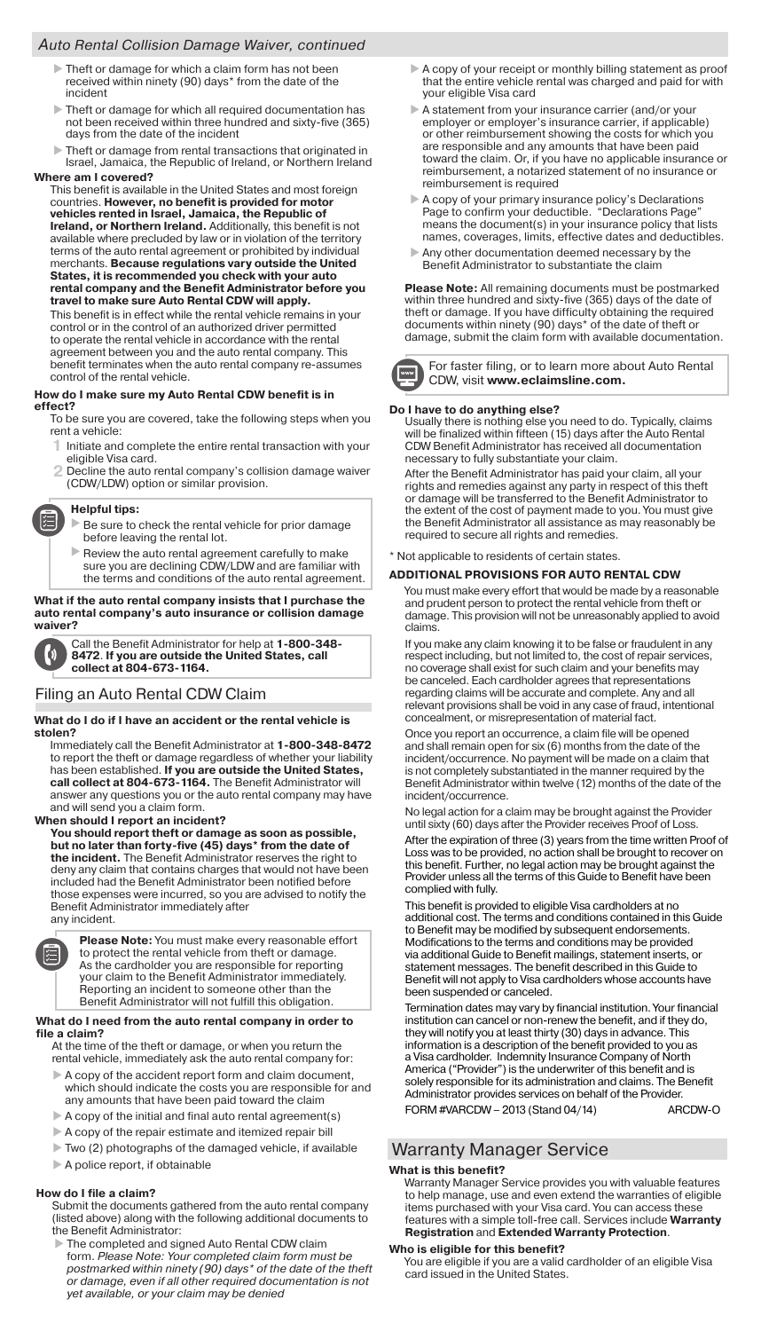#### *Auto Rental Collision Damage Waiver, continued*

- Theft or damage for which a claim form has not been received within ninety (90) days\* from the date of the incident
- Theft or damage for which all required documentation has not been received within three hundred and sixty-five (365) days from the date of the incident
- Theft or damage from rental transactions that originated in Israel, Jamaica, the Republic of Ireland, or Northern Ireland

#### **Where am I covered?**

This benefit is available in the United States and most foreign countries. **However, no benefit is provided for motor vehicles rented in Israel, Jamaica, the Republic of Ireland, or Northern Ireland.** Additionally, this benefit is not available where precluded by law or in violation of the territory terms of the auto rental agreement or prohibited by individual merchants. **Because regulations vary outside the United States, it is recommended you check with your auto rental company and the Benefit Administrator before you travel to make sure Auto Rental CDW will apply.**

This benefit is in effect while the rental vehicle remains in your control or in the control of an authorized driver permitted to operate the rental vehicle in accordance with the rental agreement between you and the auto rental company. This benefit terminates when the auto rental company re-assumes control of the rental vehicle.

#### **How do I make sure my Auto Rental CDW benefit is in effect?**

To be sure you are covered, take the following steps when you rent a vehicle:

- **1** Initiate and complete the entire rental transaction with your eligible Visa card.
- Decline the auto rental company's collision damage waiver **2** (CDW/LDW) option or similar provision.

### **Helpful tips:**

- Be sure to check the rental vehicle for prior damage before leaving the rental lot.
- Review the auto rental agreement carefully to make sure you are declining CDW/LDW and are familiar with the terms and conditions of the auto rental agreement.

#### **What if the auto rental company insists that I purchase the auto rental company's auto insurance or collision damage waiver?**

Call the Benefit Administrator for help at **1-800-348-**  $\boldsymbol{\mathfrak{b}}$ **8472**. **If you are outside the United States, call collect at 804-673-1164.** 

#### Filing an Auto Rental CDW Claim

#### **What do I do if I have an accident or the rental vehicle is stolen?**

Immediately call the Benefit Administrator at **1-800-348-8472** to report the theft or damage regardless of whether your liability has been established. **If you are outside the United States, call collect at 804-673-1164.** The Benefit Administrator will answer any questions you or the auto rental company may have and will send you a claim form.

#### **When should I report an incident?**

**You should report theft or damage as soon as possible, but no later than forty-five (45) days\* from the date of the incident.** The Benefit Administrator reserves the right to deny any claim that contains charges that would not have been included had the Benefit Administrator been notified before those expenses were incurred, so you are advised to notify the Benefit Administrator immediately after any incident.



**Please Note:** You must make every reasonable effort to protect the rental vehicle from theft or damage. As the cardholder you are responsible for reporting your claim to the Benefit Administrator immediately. Reporting an incident to someone other than the Benefit Administrator will not fulfill this obligation.

#### **What do I need from the auto rental company in order to file a claim?**

At the time of the theft or damage, or when you return the rental vehicle, immediately ask the auto rental company for:

- A copy of the accident report form and claim document, which should indicate the costs you are responsible for and any amounts that have been paid toward the claim
- $\blacktriangleright$  A copy of the initial and final auto rental agreement(s)
- A copy of the repair estimate and itemized repair bill
- Two (2) photographs of the damaged vehicle, if available
- A police report, if obtainable

#### **How do I file a claim?**

Submit the documents gathered from the auto rental company (listed above) along with the following additional documents to the Benefit Administrator:

 The completed and signed Auto Rental CDW claim form. *Please Note: Your completed claim form must be*  postmarked within ninety (90) days<sup>\*</sup> of the date of the theft *or damage, even if all other required documentation is not yet available, or your claim may be denied* 

- A copy of your receipt or monthly billing statement as proof that the entire vehicle rental was charged and paid for with your eligible Visa card
- A statement from your insurance carrier (and/or your employer or employer's insurance carrier, if applicable) or other reimbursement showing the costs for which you are responsible and any amounts that have been paid toward the claim. Or, if you have no applicable insurance or reimbursement, a notarized statement of no insurance or reimbursement is required
- A copy of your primary insurance policy's Declarations Page to confirm your deductible. "Declarations Page" means the document(s) in your insurance policy that lists names, coverages, limits, effective dates and deductibles.
- Any other documentation deemed necessary by the efit Administrator to substantiate the cla

**Please Note:** All remaining documents must be postmarked within three hundred and sixty-five (365) days of the date of theft or damage. If you have difficulty obtaining the required documents within ninety (90) days\* of the date of theft or damage, submit the claim form with available documentation.



For faster filing, or to learn more about Auto Rental CDW, visit **www.eclaimsline.com.**

#### **Do I have to do anything else?**

Usually there is nothing else you need to do. Typically, claims will be finalized within fifteen (15) days after the Auto Rental CDW Benefit Administrator has received all documentation necessary to fully substantiate your claim.

After the Benefit Administrator has paid your claim, all your rights and remedies against any party in respect of this theft or damage will be transferred to the Benefit Administrator to the extent of the cost of payment made to you. You must give the Benefit Administrator all assistance as may reasonably be required to secure all rights and remedies.

\* Not applicable to residents of certain states.

#### **ADDITIONAL PROVISIONS FOR AUTO RENTAL CDW**

You must make every effort that would be made by a reasonable and prudent person to protect the rental vehicle from theft or damage. This provision will not be unreasonably applied to avoid claims.

If you make any claim knowing it to be false or fraudulent in any respect including, but not limited to, the cost of repair services, no coverage shall exist for such claim and your benefits may be canceled. Each cardholder agrees that representations regarding claims will be accurate and complete. Any and all relevant provisions shall be void in any case of fraud, intentional concealment, or misrepresentation of material fact.

Once you report an occurrence, a claim file will be opened and shall remain open for six (6) months from the date of the incident/occurrence. No payment will be made on a claim that is not completely substantiated in the manner required by the Benefit Administrator within twelve (12) months of the date of the incident/occurrence.

No legal action for a claim may be brought against the Provider until sixty (60) days after the Provider receives Proof of Loss. After the expiration of three (3) years from the time written Proof of Loss was to be provided, no action shall be brought to recover on this benefit. Further, no legal action may be brought against the Provider unless all the terms of this Guide to Benefit have been complied with fully.

This benefit is provided to eligible Visa cardholders at no additional cost. The terms and conditions contained in this Guide to Benefit may be modified by subsequent endorsements. Modifications to the terms and conditions may be provided via additional Guide to Benefit mailings, statement inserts, or statement messages. The benefit described in this Guide to Benefit will not apply to Visa cardholders whose accounts have been suspended or canceled.

Termination dates may vary by financial institution. Your financial institution can cancel or non-renew the benefit, and if they do, they will notify you at least thirty (30) days in advance. This information is a description of the benefit provided to you as a Visa cardholder. Indemnity Insurance Company of North America ("Provider") is the underwriter of this benefit and is solely responsible for its administration and claims. The Benefit Administrator provides services on behalf of the Provider. FORM #VARCDW - 2013 (Stand 04/14) ARCDW-O

## Warranty Manager Service

#### **What is this benefit?**

Warranty Manager Service provides you with valuable features to help manage, use and even extend the warranties of eligible items purchased with your Visa card. You can access these features with a simple toll-free call. Services include **Warranty Registration** and **Extended Warranty Protection**.

#### **Who is eligible for this benefit?**

You are eligible if you are a valid cardholder of an eligible Visa card issued in the United States.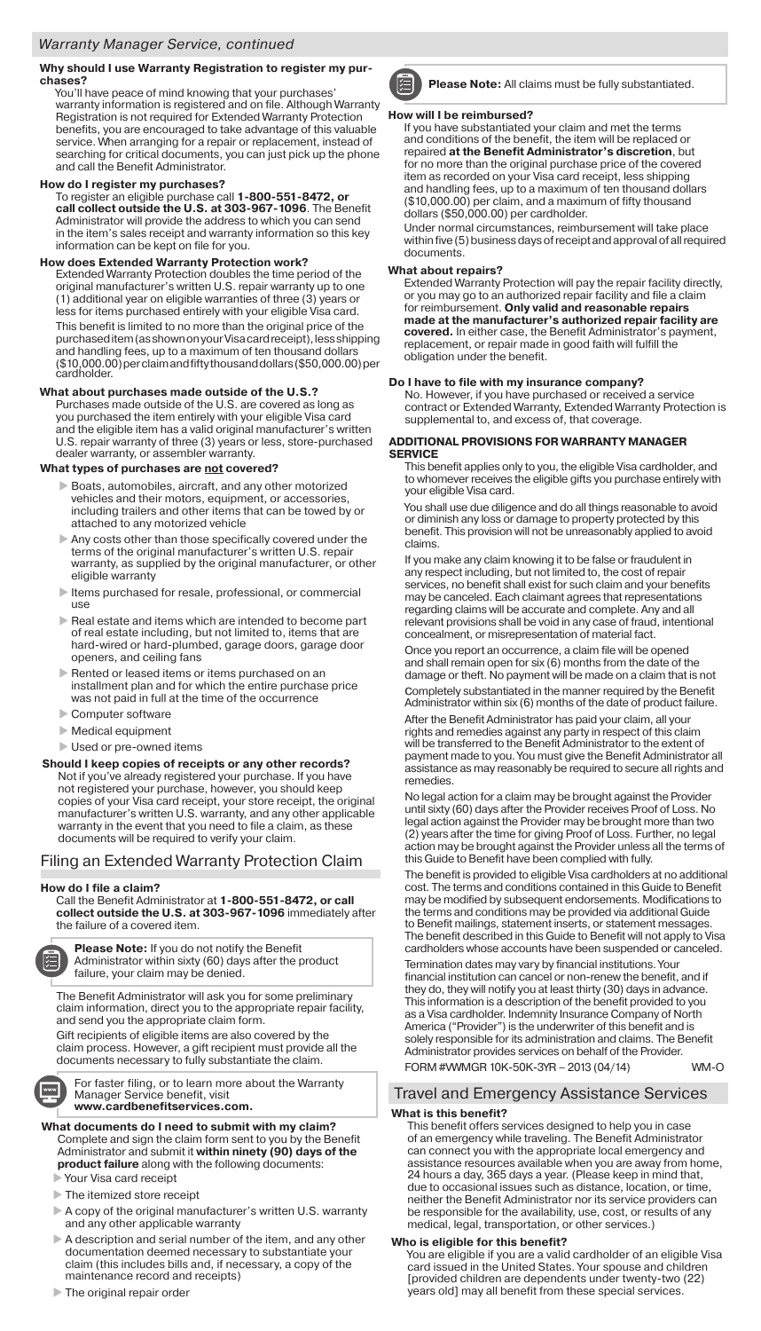#### **Why should I use Warranty Registration to register my purchases?**

You'll have peace of mind knowing that your purchases

warranty information is registered and on file. Although Warranty Registration is not required for Extended Warranty Protection benefits, you are encouraged to take advantage of this valuable service. When arranging for a repair or replacement, instead of searching for critical documents, you can just pick up the phone and call the Benefit Administrator.

#### **How do I register my purchases?**

To register an eligible purchase call **1-800-551-8472, or call collect outside the U.S. at 303-967-1096**. The Benefit Administrator will provide the address to which you can send in the item's sales receipt and warranty information so this key information can be kept on file for you.

#### **How does Extended Warranty Protection work?**

Extended Warranty Protection doubles the time period of the original manufacturer's written U.S. repair warranty up to one (1) additional year on eligible warranties of three (3) years or less for items purchased entirely with your eligible Visa card. This benefit is limited to no more than the original price of the purchased item (as shown on your Visa card receipt), less shipping and handling fees, up to a maximum of ten thousand dollars (\$10,000.00) per claim and fifty thousand dollars (\$50,000.00) per cardholder.

#### **What about purchases made outside of the U.S.?**

Purchases made outside of the U.S. are covered as long as you purchased the item entirely with your eligible Visa card and the eligible item has a valid original manufacturer's written U.S. repair warranty of three (3) years or less, store-purchased dealer warranty, or assembler warranty.

#### **What types of purchases are not covered?**

- Boats, automobiles, aircraft, and any other motorized vehicles and their motors, equipment, or accessories, including trailers and other items that can be towed by or attached to any motorized vehicle
- Any costs other than those specifically covered under the terms of the original manufacturer's written U.S. repair warranty, as supplied by the original manufacturer, or other eligible warranty
- $\blacktriangleright$  Items purchased for resale, professional, or commercial use
- $\blacktriangleright$  Real estate and items which are intended to become part of real estate including, but not limited to, items that are hard-wired or hard-plumbed, garage doors, garage door openers, and ceiling fans
- Rented or leased items or items purchased on an installment plan and for which the entire purchase price was not paid in full at the time of the occurrence
- Computer software
- Medical equipment
- Used or pre-owned items

**Should I keep copies of receipts or any other records?**  Not if you've already registered your purchase. If you have not registered your purchase, however, you should keep copies of your Visa card receipt, your store receipt, the original manufacturer's written U.S. warranty, and any other applicable warranty in the event that you need to file a claim, as these documents will be required to verify your claim.

#### Filing an Extended Warranty Protection Claim

#### **How do I file a claim?**

Call the Benefit Administrator at **1-800-551-8472, or call collect outside the U.S. at 303-967-1096** immediately after the failure of a covered item.



**Please Note:** If you do not notify the Benefit Administrator within sixty (60) days after the product failure, your claim may be denied.

The Benefit Administrator will ask you for some preliminary claim information, direct you to the appropriate repair facility, and send you the appropriate claim form. Gift recipients of eligible items are also covered by the

claim process. However, a gift recipient must provide all the documents necessary to fully substantiate the claim.

For faster filing, or to learn more about the Warranty Manager Service benefit, visit **www.cardbenefitservices.com.**

**What documents do I need to submit with my claim?** Complete and sign the claim form sent to you by the Benefit Administrator and submit it **within ninety (90) days of the product failure** along with the following documents:

Your Visa card receipt

- $\blacktriangleright$  The itemized store receipt
- A copy of the original manufacturer's written U.S. warranty and any other applicable warranty
- A description and serial number of the item, and any other documentation deemed necessary to substantiate your claim (this includes bills and, if necessary, a copy of the maintenance record and receipts)
- ▶ The original repair order



**Please Note:** All claims must be fully substantiated.

#### **How will I be reimbursed?**

If you have substantiated your claim and met the terms and conditions of the benefit, the item will be replaced or repaired **at the Benefit Administrator's discretion**, but for no more than the original purchase price of the covered item as recorded on your Visa card receipt, less shipping and handling fees, up to a maximum of ten thousand dollars (\$10,000.00) per claim, and a maximum of fifty thousand dollars (\$50,000.00) per cardholder.

Under normal circumstances, reimbursement will take place within five (5) business days of receipt and approval of all required documents.

#### **What about repairs?**

Extended Warranty Protection will pay the repair facility directly, or you may go to an authorized repair facility and file a claim for reimbursement. **Only valid and reasonable repairs made at the manufacturer's authorized repair facility are covered.** In either case, the Benefit Administrator's payment, replacement, or repair made in good faith will fulfill the obligation under the benefit.

**Do I have to file with my insurance company?**<br>No. However, if you have purchased or received a service contract or Extended Warranty, Extended Warranty Protection is supplemental to, and excess of, that coverage.

#### **ADDITIONAL PROVISIONS FOR WARRANTY MANAGER SERVICE**

This benefit applies only to you, the eligible Visa cardholder, and to whomever receives the eligible gifts you purchase entirely with your eligible Visa card.

You shall use due diligence and do all things reasonable to avoid or diminish any loss or damage to property protected by this benefit. This provision will not be unreasonably applied to avoid claims.

If you make any claim knowing it to be false or fraudulent in any respect including, but not limited to, the cost of repair services, no benefit shall exist for such claim and your benefits may be canceled. Each claimant agrees that representations regarding claims will be accurate and complete. Any and all relevant provisions shall be void in any case of fraud, intentional concealment, or misrepresentation of material fact.

Once you report an occurrence, a claim file will be opened and shall remain open for six (6) months from the date of the damage or theft. No payment will be made on a claim that is not completely substantiated in the manner required by the Benefit Administrator within six (6) months of the date of product failure.

After the Benefit Administrator has paid your claim, all your rights and remedies against any party in respect of this claim will be transferred to the Benefit Administrator to the extent of payment made to you. You must give the Benefit Administrator all assistance as may reasonably be required to secure all rights and remedies.

No legal action for a claim may be brought against the Provider until sixty (60) days after the Provider receives Proof of Loss. No legal action against the Provider may be brought more than two (2) years after the time for giving Proof of Loss. Further, no legal on may be brought against the Provider unless all the terms of this Guide to Benefit have been complied with fully.

The benefit is provided to eligible Visa cardholders at no additional cost. The terms and conditions contained in this Guide to Benefit may be modified by subsequent endorsements. Modifications to the terms and conditions may be provided via additional Guide to Benefit mailings, statement inserts, or statement messages. The benefit described in this Guide to Benefit will not apply to Visa cardholders whose accounts have been suspended or canceled.

Termination dates may vary by financial institutions. Your financial institution can cancel or non-renew the benefit, and if they do, they will notify you at least thirty (30) days in advance. This information is a description of the benefit provided to you as a Visa cardholder. Indemnity Insurance Company of North America ("Provider") is the underwriter of this benefit and is solely responsible for its administration and claims. The Benefit Administrator provides services on behalf of the Provider. FORM #VWMGR 10K-50K-3YR – 2013 (04/14) WM-O

#### Travel and Emergency Assistance Services

#### **What is this benefit?**

This benefit offers services designed to help you in case of an emergency while traveling. The Benefit Administrator can connect you with the appropriate local emergency and assistance resources available when you are away from home, 24 hours a day, 365 days a year. (Please keep in mind that, due to occasional issues such as distance, location, or time, neither the Benefit Administrator nor its service providers can be responsible for the availability, use, cost, or results of any medical, legal, transportation, or other services.)

#### **Who is eligible for this benefit?**

You are eligible if you are a valid cardholder of an eligible Visa card issued in the United States. Your spouse and children [provided children are dependents under twenty-two (22) years old] may all benefit from these special services.